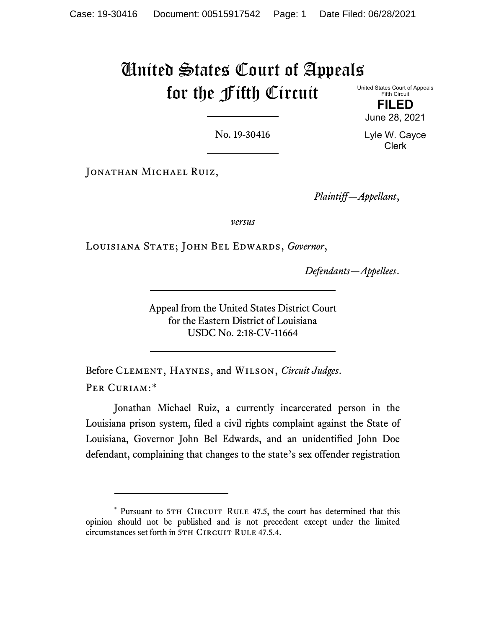## United States Court of Appeals for the Fifth Circuit

United States Court of Appeals Fifth Circuit

**FILED** June 28, 2021

No. 19-30416

Lyle W. Cayce Clerk

JONATHAN MICHAEL RUIZ,

*Plaintiff—Appellant*,

*versus*

Louisiana State; John Bel Edwards, *Governor*,

*Defendants—Appellees*.

Appeal from the United States District Court for the Eastern District of Louisiana USDC No. 2:18-CV-11664

Before Clement, Haynes, and Wilson, *Circuit Judges*. PER CURIAM:[\\*](#page-0-0)

Jonathan Michael Ruiz, a currently incarcerated person in the Louisiana prison system, filed a civil rights complaint against the State of Louisiana, Governor John Bel Edwards, and an unidentified John Doe defendant, complaining that changes to the state's sex offender registration

<span id="page-0-0"></span><sup>\*</sup> Pursuant to 5TH CIRCUIT RULE 47.5, the court has determined that this opinion should not be published and is not precedent except under the limited circumstances set forth in 5TH CIRCUIT RULE 47.5.4.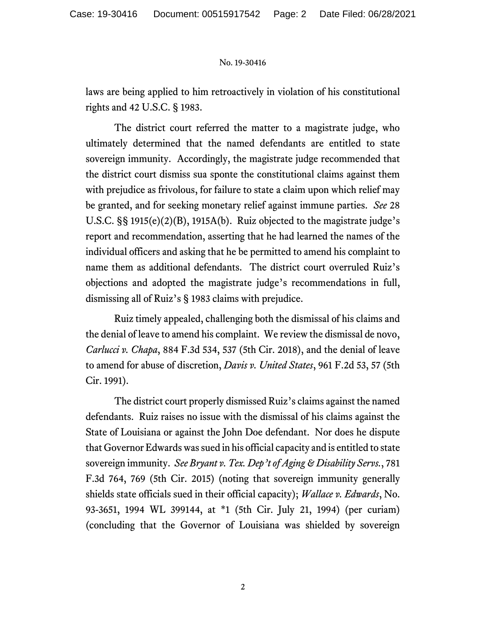## No. 19-30416

laws are being applied to him retroactively in violation of his constitutional rights and 42 U.S.C. § 1983.

The district court referred the matter to a magistrate judge, who ultimately determined that the named defendants are entitled to state sovereign immunity. Accordingly, the magistrate judge recommended that the district court dismiss sua sponte the constitutional claims against them with prejudice as frivolous, for failure to state a claim upon which relief may be granted, and for seeking monetary relief against immune parties. *See* 28 U.S.C. §§ 1915(e)(2)(B), 1915A(b). Ruiz objected to the magistrate judge's report and recommendation, asserting that he had learned the names of the individual officers and asking that he be permitted to amend his complaint to name them as additional defendants. The district court overruled Ruiz's objections and adopted the magistrate judge's recommendations in full, dismissing all of Ruiz's § 1983 claims with prejudice.

Ruiz timely appealed, challenging both the dismissal of his claims and the denial of leave to amend his complaint. We review the dismissal de novo, *Carlucci v. Chapa*, 884 F.3d 534, 537 (5th Cir. 2018), and the denial of leave to amend for abuse of discretion, *Davis v. United States*, 961 F.2d 53, 57 (5th Cir. 1991).

The district court properly dismissed Ruiz's claims against the named defendants. Ruiz raises no issue with the dismissal of his claims against the State of Louisiana or against the John Doe defendant. Nor does he dispute that Governor Edwards was sued in his official capacity and is entitled to state sovereign immunity. *See Bryant v. Tex. Dep't of Aging & Disability Servs.*, 781 F.3d 764, 769 (5th Cir. 2015) (noting that sovereign immunity generally shields state officials sued in their official capacity); *Wallace v. Edwards*, No. 93-3651, 1994 WL 399144, at \*1 (5th Cir. July 21, 1994) (per curiam) (concluding that the Governor of Louisiana was shielded by sovereign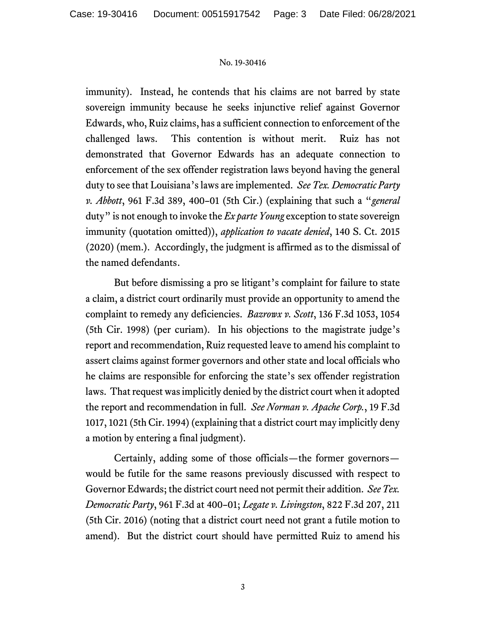## No. 19-30416

immunity). Instead, he contends that his claims are not barred by state sovereign immunity because he seeks injunctive relief against Governor Edwards, who, Ruiz claims, has a sufficient connection to enforcement of the challenged laws. This contention is without merit. Ruiz has not demonstrated that Governor Edwards has an adequate connection to enforcement of the sex offender registration laws beyond having the general duty to see that Louisiana's laws are implemented. *See Tex. Democratic Party v. Abbott*, 961 F.3d 389, 400–01 (5th Cir.) (explaining that such a "*general* duty" is not enough to invoke the *Ex parte Young* exception to state sovereign immunity (quotation omitted)), *application to vacate denied*, 140 S. Ct. 2015 (2020) (mem.). Accordingly, the judgment is affirmed as to the dismissal of the named defendants.

But before dismissing a pro se litigant's complaint for failure to state a claim, a district court ordinarily must provide an opportunity to amend the complaint to remedy any deficiencies. *Bazrowx v. Scott*, 136 F.3d 1053, 1054 (5th Cir. 1998) (per curiam). In his objections to the magistrate judge's report and recommendation, Ruiz requested leave to amend his complaint to assert claims against former governors and other state and local officials who he claims are responsible for enforcing the state's sex offender registration laws. That request was implicitly denied by the district court when it adopted the report and recommendation in full. *See Norman v. Apache Corp.*, 19 F.3d 1017, 1021 (5th Cir. 1994) (explaining that a district court may implicitly deny a motion by entering a final judgment).

Certainly, adding some of those officials—the former governors would be futile for the same reasons previously discussed with respect to Governor Edwards; the district court need not permit their addition. *See Tex. Democratic Party*, 961 F.3d at 400–01; *Legate v. Livingston*, 822 F.3d 207, 211 (5th Cir. 2016) (noting that a district court need not grant a futile motion to amend). But the district court should have permitted Ruiz to amend his